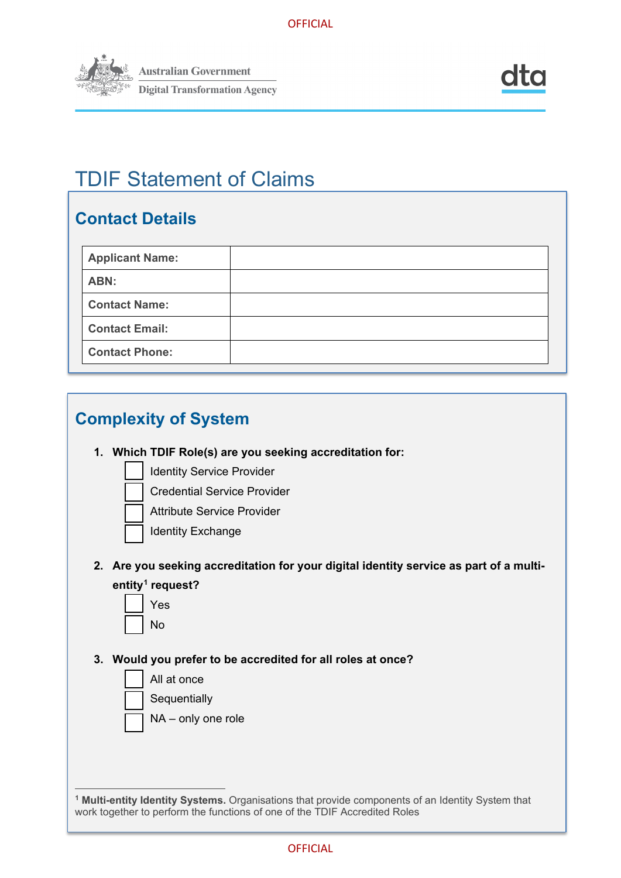

# TDIF Statement of Claims

# **Contact Details**

| <b>Applicant Name:</b> |  |
|------------------------|--|
| ABN:                   |  |
| <b>Contact Name:</b>   |  |
| <b>Contact Email:</b>  |  |
| <b>Contact Phone:</b>  |  |



<span id="page-0-0"></span>**<sup>1</sup> Multi-entity Identity Systems.** Organisations that provide components of an Identity System that work together to perform the functions of one of the TDIF Accredited Roles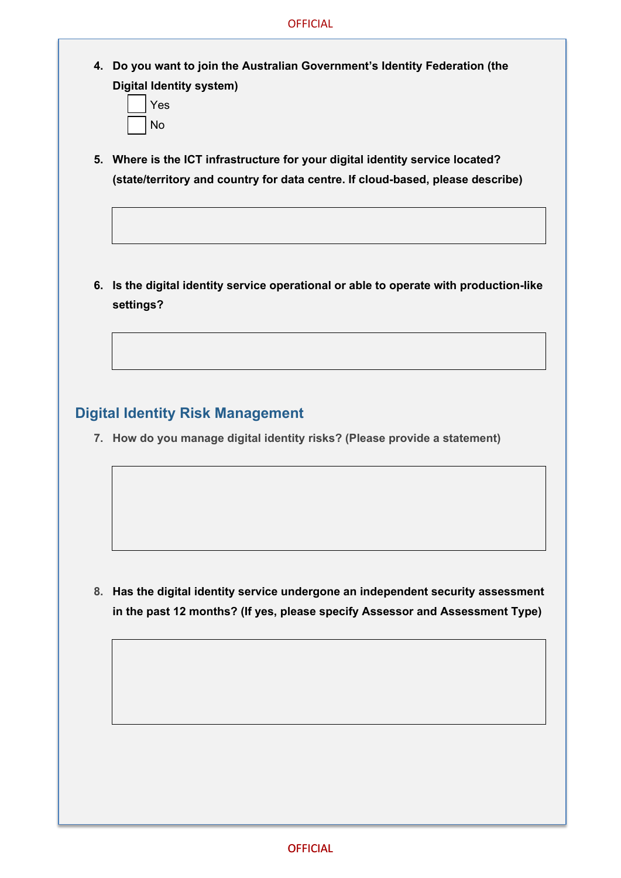- **4. Do you want to join the Australian Government's Identity Federation (the Digital Identity system)**
	- Yes No
- **5. Where is the ICT infrastructure for your digital identity service located? (state/territory and country for data centre. If cloud-based, please describe)**

**6. Is the digital identity service operational or able to operate with production-like settings?**

### **Digital Identity Risk Management**

**7. How do you manage digital identity risks? (Please provide a statement)**

**8. Has the digital identity service undergone an independent security assessment in the past 12 months? (If yes, please specify Assessor and Assessment Type)**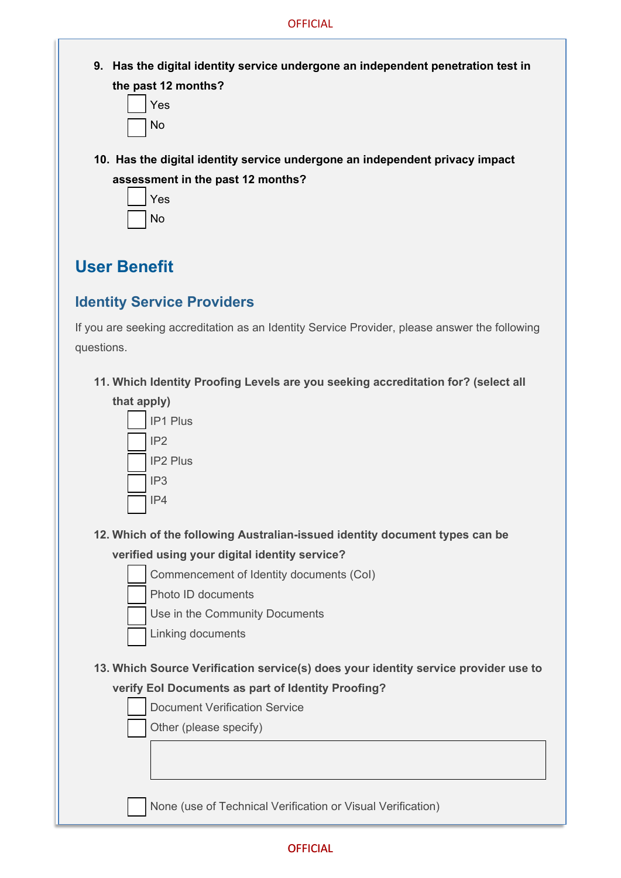**9. Has the digital identity service undergone an independent penetration test in the past 12 months?**



**10. Has the digital identity service undergone an independent privacy impact assessment in the past 12 months?**



# **User Benefit**

## **Identity Service Providers**

If you are seeking accreditation as an Identity Service Provider, please answer the following questions.

**11. Which Identity Proofing Levels are you seeking accreditation for? (select all**



**12. Which of the following Australian-issued identity document types can be**

### **verified using your digital identity service?**

- Commencement of Identity documents (CoI)
- Photo ID documents
- Use in the Community Documents
- Linking documents
- **13. Which Source Verification service(s) does your identity service provider use to verify EoI Documents as part of Identity Proofing?**
	- Document Verification Service

Other (please specify)

None (use of Technical Verification or Visual Verification)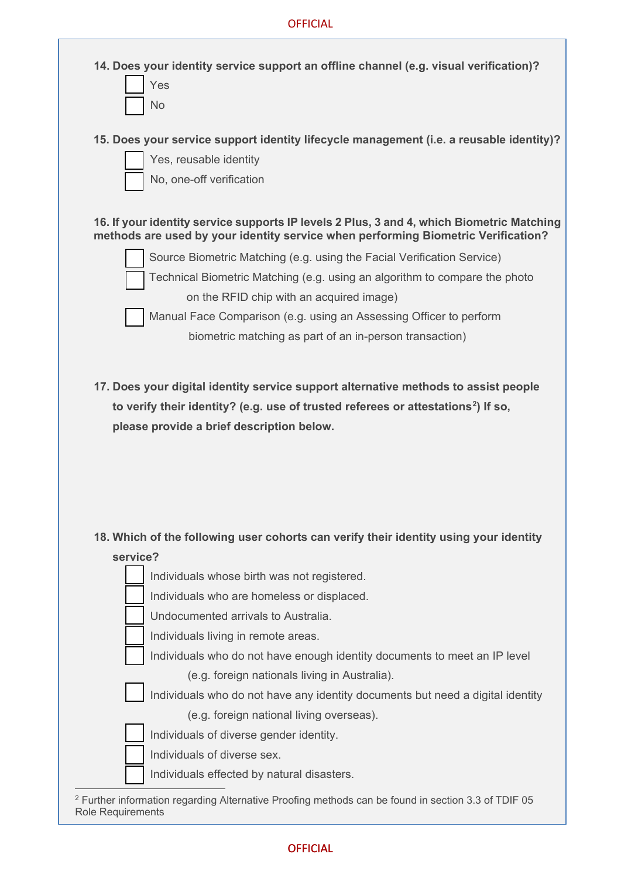| 14. Does your identity service support an offline channel (e.g. visual verification)?<br>Yes<br>No                                                                             |
|--------------------------------------------------------------------------------------------------------------------------------------------------------------------------------|
| 15. Does your service support identity lifecycle management (i.e. a reusable identity)?<br>Yes, reusable identity<br>No, one-off verification                                  |
| 16. If your identity service supports IP levels 2 Plus, 3 and 4, which Biometric Matching<br>methods are used by your identity service when performing Biometric Verification? |
| Source Biometric Matching (e.g. using the Facial Verification Service)                                                                                                         |
| Technical Biometric Matching (e.g. using an algorithm to compare the photo                                                                                                     |
| on the RFID chip with an acquired image)                                                                                                                                       |
| Manual Face Comparison (e.g. using an Assessing Officer to perform                                                                                                             |
| biometric matching as part of an in-person transaction)                                                                                                                        |
|                                                                                                                                                                                |
| 18. Which of the following user cohorts can verify their identity using your identity<br>service?                                                                              |
| Individuals whose birth was not registered.                                                                                                                                    |
| Individuals who are homeless or displaced.                                                                                                                                     |
| Undocumented arrivals to Australia.                                                                                                                                            |
| Individuals living in remote areas.                                                                                                                                            |
| Individuals who do not have enough identity documents to meet an IP level                                                                                                      |
| (e.g. foreign nationals living in Australia).<br>Individuals who do not have any identity documents but need a digital identity                                                |
| (e.g. foreign national living overseas).                                                                                                                                       |
| Individuals of diverse gender identity.                                                                                                                                        |
| Individuals of diverse sex.                                                                                                                                                    |
| Individuals effected by natural disasters.                                                                                                                                     |
| <sup>2</sup> Further information regarding Alternative Proofing methods can be found in section 3.3 of TDIF 05                                                                 |

<span id="page-3-0"></span>Role Requirements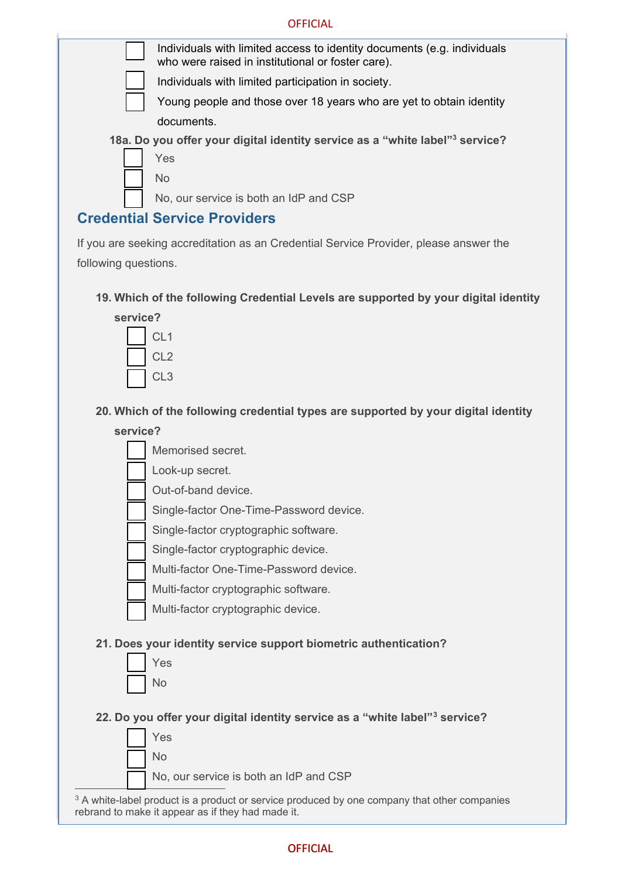#### **OFFICIAL**

| Individuals with limited access to identity documents (e.g. individuals<br>who were raised in institutional or foster care). |
|------------------------------------------------------------------------------------------------------------------------------|
| Individuals with limited participation in society.                                                                           |
| Young people and those over 18 years who are yet to obtain identity                                                          |
| documents.                                                                                                                   |
| 18a. Do you offer your digital identity service as a "white label" <sup>3</sup> service?                                     |
| Yes                                                                                                                          |



No, our service is both an IdP and CSP

### **Credential Service Providers**

If you are seeking accreditation as an Credential Service Provider, please answer the following questions.

### **19. Which of the following Credential Levels are supported by your digital identity**



**20. Which of the following credential types are supported by your digital identity**

### **service?**

Memorised secret.

Look-up secret.

Out-of-band device.

Single-factor One-Time-Password device.

Single-factor cryptographic software.

Single-factor cryptographic device.

Multi-factor One-Time-Password device.

Multi-factor cryptographic software.

Multi-factor cryptographic device.

### **21. Does your identity service support biometric authentication?**



**22. Do you offer your digital identity service as a "white label"[3](#page-4-0) service?**



<span id="page-4-0"></span><sup>3</sup> A white-label product is a product or service produced by one company that other companies rebrand to make it appear as if they had made it.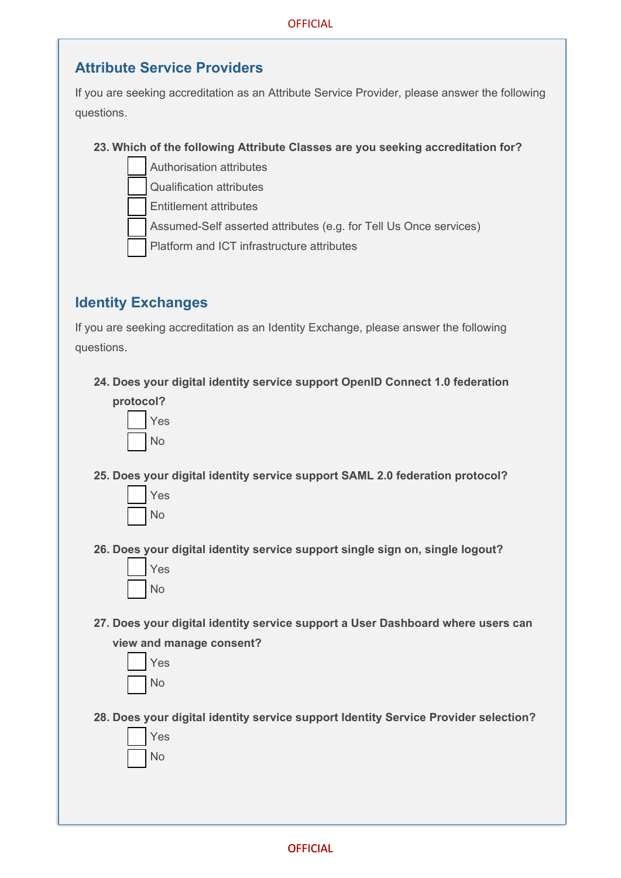### **Attribute Service Providers**

If you are seeking accreditation as an Attribute Service Provider, please answer the following questions.

### **23. Which of the following Attribute Classes are you seeking accreditation for?**

- Authorisation attributes
- Qualification attributes

Entitlement attributes

Assumed-Self asserted attributes (e.g. for Tell Us Once services)

Platform and ICT infrastructure attributes

## **Identity Exchanges**

If you are seeking accreditation as an Identity Exchange, please answer the following questions.

**24. Does your digital identity service support OpenID Connect 1.0 federation**



**25. Does your digital identity service support SAML 2.0 federation protocol?**



**26. Does your digital identity service support single sign on, single logout?**



**27. Does your digital identity service support a User Dashboard where users can view and manage consent?**



**28. Does your digital identity service support Identity Service Provider selection?**

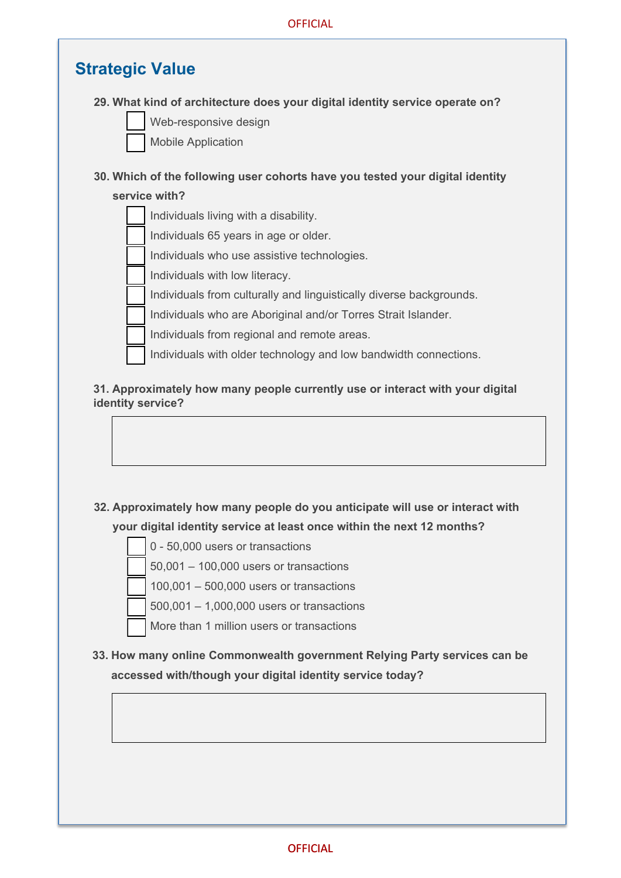# **Strategic Value**

#### **29. What kind of architecture does your digital identity service operate on?**

Web-responsive design

Mobile Application

### **30. Which of the following user cohorts have you tested your digital identity**

#### **service with?**



#### **31. Approximately how many people currently use or interact with your digital identity service?**

### **32. Approximately how many people do you anticipate will use or interact with your digital identity service at least once within the next 12 months?**



**33. How many online Commonwealth government Relying Party services can be accessed with/though your digital identity service today?**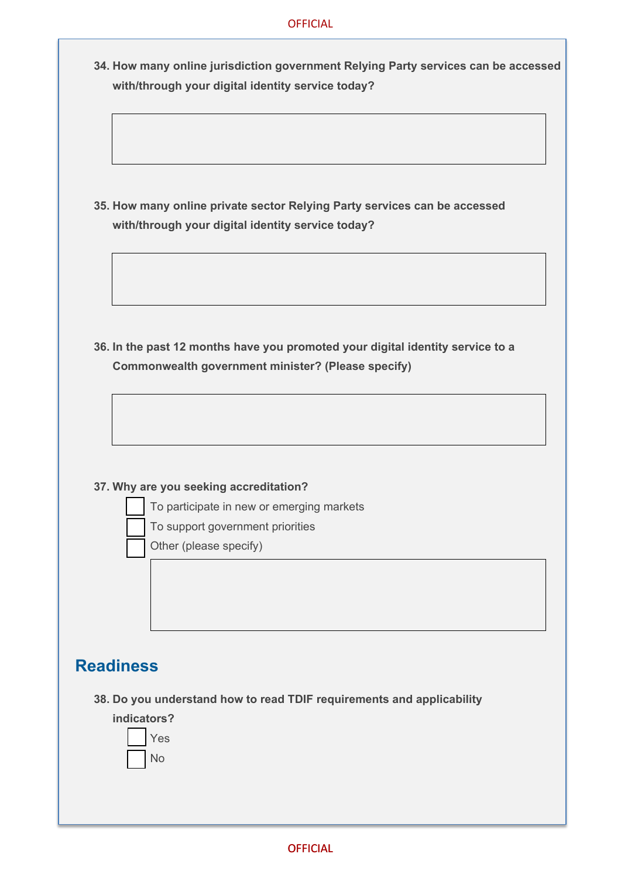#### **OFFICIAL**

**34. How many online jurisdiction government Relying Party services can be accessed with/through your digital identity service today?**

**35. How many online private sector Relying Party services can be accessed with/through your digital identity service today?**

**36. In the past 12 months have you promoted your digital identity service to a Commonwealth government minister? (Please specify)**

#### **37. Why are you seeking accreditation?**

- To participate in new or emerging markets
- To support government priorities

Other (please specify)

## **Readiness**

**38. Do you understand how to read TDIF requirements and applicability**

**indicators?**

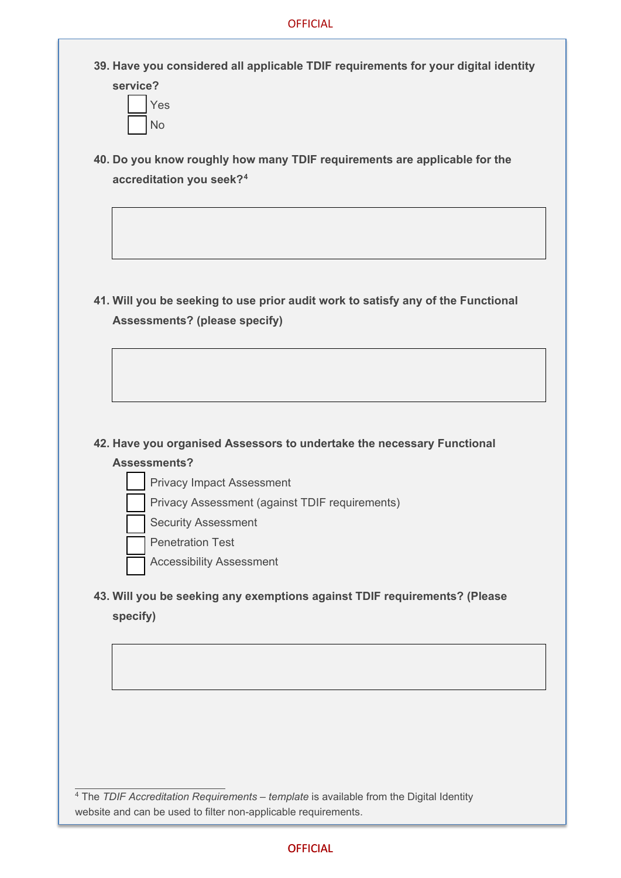**39. Have you considered all applicable TDIF requirements for your digital identity service?**



**40. Do you know roughly how many TDIF requirements are applicable for the accreditation you seek?[4](#page-8-0)**

**41. Will you be seeking to use prior audit work to satisfy any of the Functional Assessments? (please specify)**

# **42. Have you organised Assessors to undertake the necessary Functional**

### **Assessments?**

- Privacy Impact Assessment
- Privacy Assessment (against TDIF requirements)
- Security Assessment
- Penetration Test
- Accessibility Assessment
- **43. Will you be seeking any exemptions against TDIF requirements? (Please specify)**

<span id="page-8-0"></span><sup>4</sup> The *TDIF Accreditation Requirements – template* is available from the Digital Identity website and can be used to filter non-applicable requirements.